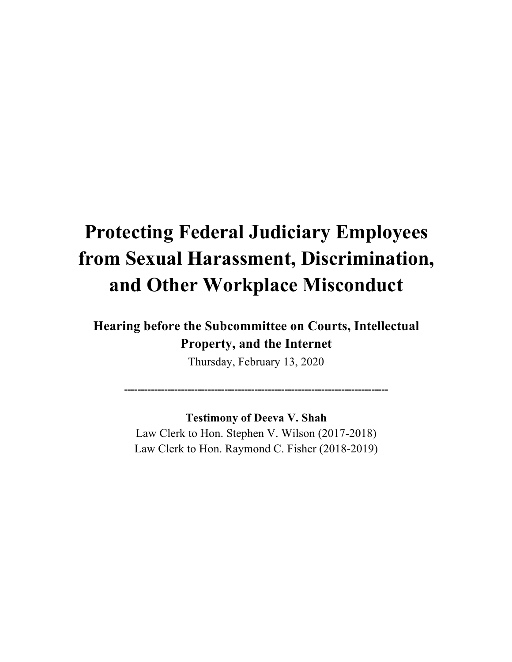# **Protecting Federal Judiciary Employees from Sexual Harassment, Discrimination, and Other Workplace Misconduct**

# **Hearing before the Subcommittee on Courts, Intellectual Property, and the Internet**

Thursday, February 13, 2020

**-------------------------------------------------------------------------------** 

**Testimony of Deeva V. Shah** Law Clerk to Hon. Stephen V. Wilson (2017-2018) Law Clerk to Hon. Raymond C. Fisher (2018-2019)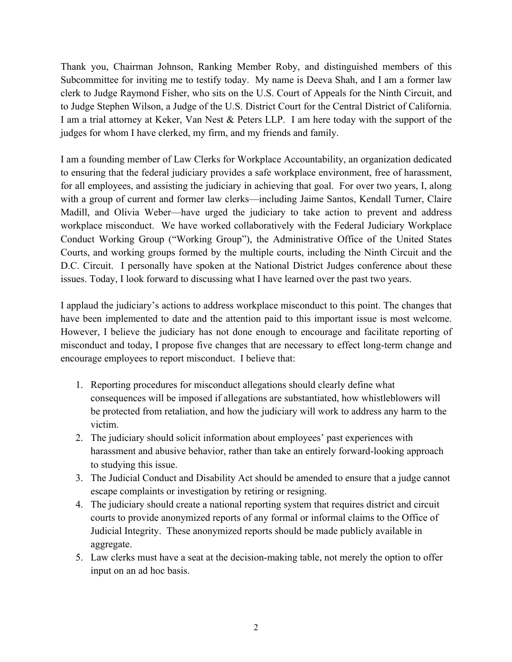Thank you, Chairman Johnson, Ranking Member Roby, and distinguished members of this Subcommittee for inviting me to testify today. My name is Deeva Shah, and I am a former law clerk to Judge Raymond Fisher, who sits on the U.S. Court of Appeals for the Ninth Circuit, and to Judge Stephen Wilson, a Judge of the U.S. District Court for the Central District of California. I am a trial attorney at Keker, Van Nest & Peters LLP. I am here today with the support of the judges for whom I have clerked, my firm, and my friends and family.

I am a founding member of Law Clerks for Workplace Accountability, an organization dedicated to ensuring that the federal judiciary provides a safe workplace environment, free of harassment, for all employees, and assisting the judiciary in achieving that goal. For over two years, I, along with a group of current and former law clerks—including Jaime Santos, Kendall Turner, Claire Madill, and Olivia Weber—have urged the judiciary to take action to prevent and address workplace misconduct. We have worked collaboratively with the Federal Judiciary Workplace Conduct Working Group ("Working Group"), the Administrative Office of the United States Courts, and working groups formed by the multiple courts, including the Ninth Circuit and the D.C. Circuit. I personally have spoken at the National District Judges conference about these issues. Today, I look forward to discussing what I have learned over the past two years.

I applaud the judiciary's actions to address workplace misconduct to this point. The changes that have been implemented to date and the attention paid to this important issue is most welcome. However, I believe the judiciary has not done enough to encourage and facilitate reporting of misconduct and today, I propose five changes that are necessary to effect long-term change and encourage employees to report misconduct. I believe that:

- 1. Reporting procedures for misconduct allegations should clearly define what consequences will be imposed if allegations are substantiated, how whistleblowers will be protected from retaliation, and how the judiciary will work to address any harm to the victim.
- 2. The judiciary should solicit information about employees' past experiences with harassment and abusive behavior, rather than take an entirely forward-looking approach to studying this issue.
- 3. The Judicial Conduct and Disability Act should be amended to ensure that a judge cannot escape complaints or investigation by retiring or resigning.
- 4. The judiciary should create a national reporting system that requires district and circuit courts to provide anonymized reports of any formal or informal claims to the Office of Judicial Integrity. These anonymized reports should be made publicly available in aggregate.
- 5. Law clerks must have a seat at the decision-making table, not merely the option to offer input on an ad hoc basis.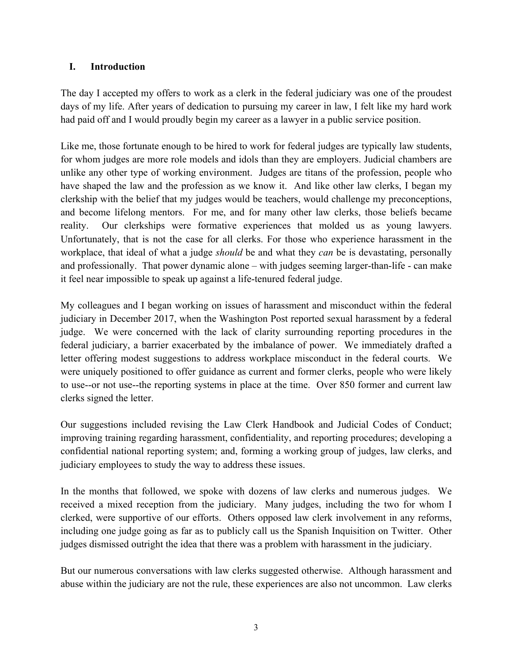#### **I. Introduction**

The day I accepted my offers to work as a clerk in the federal judiciary was one of the proudest days of my life. After years of dedication to pursuing my career in law, I felt like my hard work had paid off and I would proudly begin my career as a lawyer in a public service position.

Like me, those fortunate enough to be hired to work for federal judges are typically law students, for whom judges are more role models and idols than they are employers. Judicial chambers are unlike any other type of working environment. Judges are titans of the profession, people who have shaped the law and the profession as we know it. And like other law clerks, I began my clerkship with the belief that my judges would be teachers, would challenge my preconceptions, and become lifelong mentors. For me, and for many other law clerks, those beliefs became reality. Our clerkships were formative experiences that molded us as young lawyers. Unfortunately, that is not the case for all clerks. For those who experience harassment in the workplace, that ideal of what a judge *should* be and what they *can* be is devastating, personally and professionally. That power dynamic alone – with judges seeming larger-than-life - can make it feel near impossible to speak up against a life-tenured federal judge.

My colleagues and I began working on issues of harassment and misconduct within the federal judiciary in December 2017, when the Washington Post reported sexual harassment by a federal judge. We were concerned with the lack of clarity surrounding reporting procedures in the federal judiciary, a barrier exacerbated by the imbalance of power. We immediately drafted a letter offering modest suggestions to address workplace misconduct in the federal courts. We were uniquely positioned to offer guidance as current and former clerks, people who were likely to use--or not use--the reporting systems in place at the time. Over 850 former and current law clerks signed the letter.

Our suggestions included revising the Law Clerk Handbook and Judicial Codes of Conduct; improving training regarding harassment, confidentiality, and reporting procedures; developing a confidential national reporting system; and, forming a working group of judges, law clerks, and judiciary employees to study the way to address these issues.

In the months that followed, we spoke with dozens of law clerks and numerous judges. We received a mixed reception from the judiciary. Many judges, including the two for whom I clerked, were supportive of our efforts. Others opposed law clerk involvement in any reforms, including one judge going as far as to publicly call us the Spanish Inquisition on Twitter. Other judges dismissed outright the idea that there was a problem with harassment in the judiciary.

But our numerous conversations with law clerks suggested otherwise. Although harassment and abuse within the judiciary are not the rule, these experiences are also not uncommon. Law clerks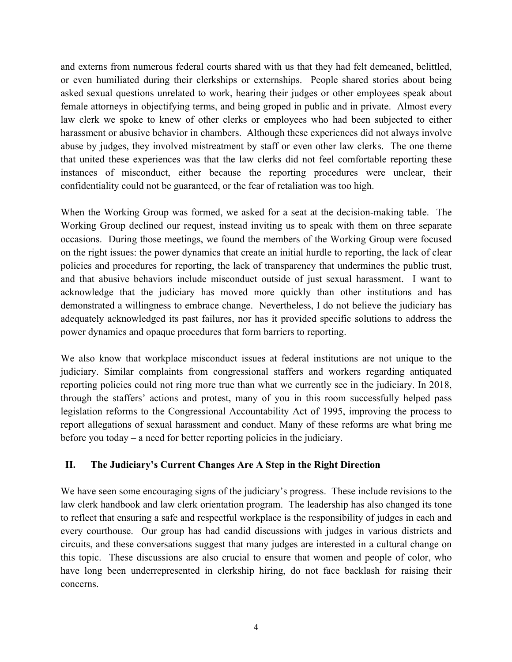and externs from numerous federal courts shared with us that they had felt demeaned, belittled, or even humiliated during their clerkships or externships. People shared stories about being asked sexual questions unrelated to work, hearing their judges or other employees speak about female attorneys in objectifying terms, and being groped in public and in private. Almost every law clerk we spoke to knew of other clerks or employees who had been subjected to either harassment or abusive behavior in chambers. Although these experiences did not always involve abuse by judges, they involved mistreatment by staff or even other law clerks. The one theme that united these experiences was that the law clerks did not feel comfortable reporting these instances of misconduct, either because the reporting procedures were unclear, their confidentiality could not be guaranteed, or the fear of retaliation was too high.

When the Working Group was formed, we asked for a seat at the decision-making table. The Working Group declined our request, instead inviting us to speak with them on three separate occasions. During those meetings, we found the members of the Working Group were focused on the right issues: the power dynamics that create an initial hurdle to reporting, the lack of clear policies and procedures for reporting, the lack of transparency that undermines the public trust, and that abusive behaviors include misconduct outside of just sexual harassment. I want to acknowledge that the judiciary has moved more quickly than other institutions and has demonstrated a willingness to embrace change. Nevertheless, I do not believe the judiciary has adequately acknowledged its past failures, nor has it provided specific solutions to address the power dynamics and opaque procedures that form barriers to reporting.

We also know that workplace misconduct issues at federal institutions are not unique to the judiciary. Similar complaints from congressional staffers and workers regarding antiquated reporting policies could not ring more true than what we currently see in the judiciary. In 2018, through the staffers' actions and protest, many of you in this room successfully helped pass legislation reforms to the Congressional Accountability Act of 1995, improving the process to report allegations of sexual harassment and conduct. Many of these reforms are what bring me before you today – a need for better reporting policies in the judiciary.

# **II. The Judiciary's Current Changes Are A Step in the Right Direction**

We have seen some encouraging signs of the judiciary's progress. These include revisions to the law clerk handbook and law clerk orientation program. The leadership has also changed its tone to reflect that ensuring a safe and respectful workplace is the responsibility of judges in each and every courthouse. Our group has had candid discussions with judges in various districts and circuits, and these conversations suggest that many judges are interested in a cultural change on this topic. These discussions are also crucial to ensure that women and people of color, who have long been underrepresented in clerkship hiring, do not face backlash for raising their concerns.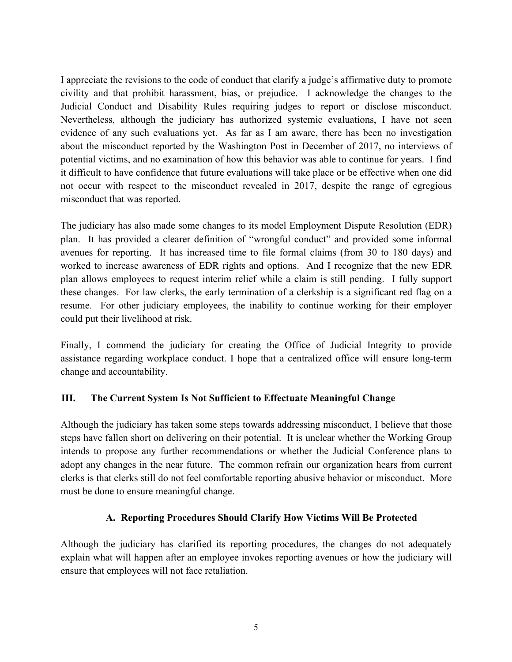I appreciate the revisions to the code of conduct that clarify a judge's affirmative duty to promote civility and that prohibit harassment, bias, or prejudice. I acknowledge the changes to the Judicial Conduct and Disability Rules requiring judges to report or disclose misconduct. Nevertheless, although the judiciary has authorized systemic evaluations, I have not seen evidence of any such evaluations yet. As far as I am aware, there has been no investigation about the misconduct reported by the Washington Post in December of 2017, no interviews of potential victims, and no examination of how this behavior was able to continue for years. I find it difficult to have confidence that future evaluations will take place or be effective when one did not occur with respect to the misconduct revealed in 2017, despite the range of egregious misconduct that was reported.

The judiciary has also made some changes to its model Employment Dispute Resolution (EDR) plan. It has provided a clearer definition of "wrongful conduct" and provided some informal avenues for reporting. It has increased time to file formal claims (from 30 to 180 days) and worked to increase awareness of EDR rights and options. And I recognize that the new EDR plan allows employees to request interim relief while a claim is still pending. I fully support these changes. For law clerks, the early termination of a clerkship is a significant red flag on a resume. For other judiciary employees, the inability to continue working for their employer could put their livelihood at risk.

Finally, I commend the judiciary for creating the Office of Judicial Integrity to provide assistance regarding workplace conduct. I hope that a centralized office will ensure long-term change and accountability.

# **III. The Current System Is Not Sufficient to Effectuate Meaningful Change**

Although the judiciary has taken some steps towards addressing misconduct, I believe that those steps have fallen short on delivering on their potential. It is unclear whether the Working Group intends to propose any further recommendations or whether the Judicial Conference plans to adopt any changes in the near future. The common refrain our organization hears from current clerks is that clerks still do not feel comfortable reporting abusive behavior or misconduct. More must be done to ensure meaningful change.

#### **A. Reporting Procedures Should Clarify How Victims Will Be Protected**

Although the judiciary has clarified its reporting procedures, the changes do not adequately explain what will happen after an employee invokes reporting avenues or how the judiciary will ensure that employees will not face retaliation.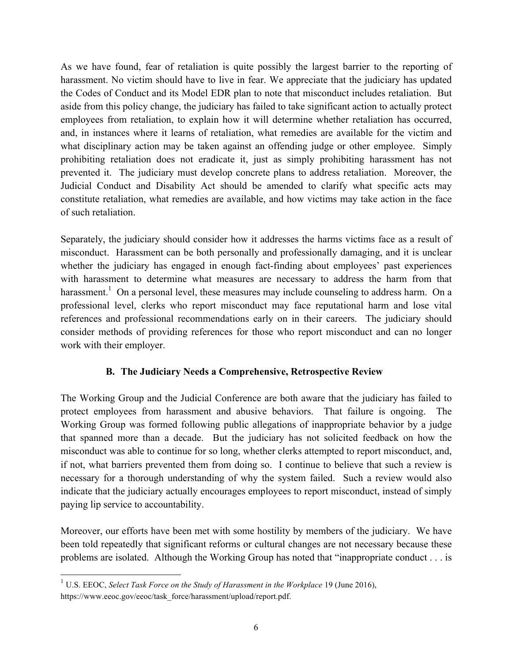As we have found, fear of retaliation is quite possibly the largest barrier to the reporting of harassment. No victim should have to live in fear. We appreciate that the judiciary has updated the Codes of Conduct and its Model EDR plan to note that misconduct includes retaliation. But aside from this policy change, the judiciary has failed to take significant action to actually protect employees from retaliation, to explain how it will determine whether retaliation has occurred, and, in instances where it learns of retaliation, what remedies are available for the victim and what disciplinary action may be taken against an offending judge or other employee. Simply prohibiting retaliation does not eradicate it, just as simply prohibiting harassment has not prevented it. The judiciary must develop concrete plans to address retaliation. Moreover, the Judicial Conduct and Disability Act should be amended to clarify what specific acts may constitute retaliation, what remedies are available, and how victims may take action in the face of such retaliation.

Separately, the judiciary should consider how it addresses the harms victims face as a result of misconduct. Harassment can be both personally and professionally damaging, and it is unclear whether the judiciary has engaged in enough fact-finding about employees' past experiences with harassment to determine what measures are necessary to address the harm from that harassment.<sup>1</sup> On a personal level, these measures may include counseling to address harm. On a professional level, clerks who report misconduct may face reputational harm and lose vital references and professional recommendations early on in their careers. The judiciary should consider methods of providing references for those who report misconduct and can no longer work with their employer.

# **B. The Judiciary Needs a Comprehensive, Retrospective Review**

The Working Group and the Judicial Conference are both aware that the judiciary has failed to protect employees from harassment and abusive behaviors. That failure is ongoing. The Working Group was formed following public allegations of inappropriate behavior by a judge that spanned more than a decade. But the judiciary has not solicited feedback on how the misconduct was able to continue for so long, whether clerks attempted to report misconduct, and, if not, what barriers prevented them from doing so. I continue to believe that such a review is necessary for a thorough understanding of why the system failed. Such a review would also indicate that the judiciary actually encourages employees to report misconduct, instead of simply paying lip service to accountability.

Moreover, our efforts have been met with some hostility by members of the judiciary. We have been told repeatedly that significant reforms or cultural changes are not necessary because these problems are isolated. Although the Working Group has noted that "inappropriate conduct . . . is

<sup>1</sup> U.S. EEOC, *Select Task Force on the Study of Harassment in the Workplace* 19 (June 2016), https://www.eeoc.gov/eeoc/task\_force/harassment/upload/report.pdf.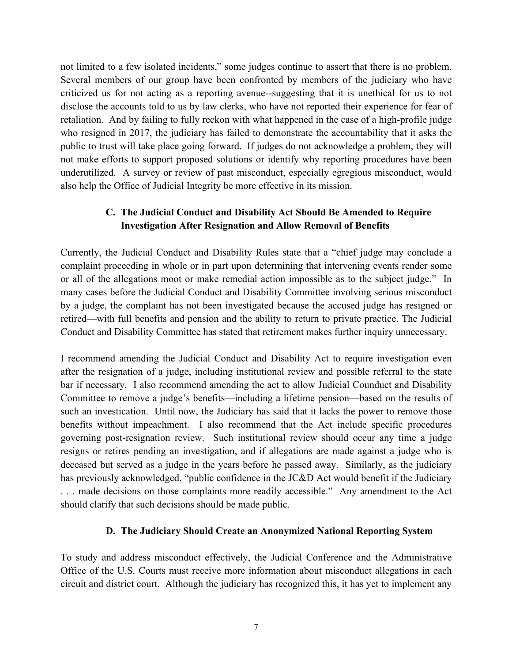not limited to a few isolated incidents," some judges continue to assert that there is no problem. Several members of our group have been confronted by members of the judiciary who have criticized us for not acting as a reporting avenue--suggesting that it is unethical for us to not disclose the accounts told to us by law clerks, who have not reported their experience for fear of retaliation. And by failing to fully reckon with what happened in the case of a high-profile judge who resigned in 2017, the judiciary has failed to demonstrate the accountability that it asks the public to trust will take place going forward. If judges do not acknowledge a problem, they will not make efforts to support proposed solutions or identify why reporting procedures have been underutilized. A survey or review of past misconduct, especially egregious misconduct, would also help the Office of Judicial Integrity be more effective in its mission.

# **C. The Judicial Conduct and Disability Act Should Be Amended to Require Investigation After Resignation and Allow Removal of Benefits**

Currently, the Judicial Conduct and Disability Rules state that a "chief judge may conclude a complaint proceeding in whole or in part upon determining that intervening events render some or all of the allegations moot or make remedial action impossible as to the subject judge." In many cases before the Judicial Conduct and Disability Committee involving serious misconduct by a judge, the complaint has not been investigated because the accused judge has resigned or retired—with full benefits and pension and the ability to return to private practice. The Judicial Conduct and Disability Committee has stated that retirement makes further inquiry unnecessary.

I recommend amending the Judicial Conduct and Disability Act to require investigation even after the resignation of a judge, including institutional review and possible referral to the state bar if necessary. I also recommend amending the act to allow Judicial Counduct and Disability Committee to remove a judge's benefits—including a lifetime pension—based on the results of such an investication. Until now, the Judiciary has said that it lacks the power to remove those benefits without impeachment. I also recommend that the Act include specific procedures governing post-resignation review. Such institutional review should occur any time a judge resigns or retires pending an investigation, and if allegations are made against a judge who is deceased but served as a judge in the years before he passed away. Similarly, as the judiciary has previously acknowledged, "public confidence in the JC&D Act would benefit if the Judiciary . . . made decisions on those complaints more readily accessible." Any amendment to the Act should clarify that such decisions should be made public.

#### **D. The Judiciary Should Create an Anonymized National Reporting System**

To study and address misconduct effectively, the Judicial Conference and the Administrative Office of the U.S. Courts must receive more information about misconduct allegations in each circuit and district court. Although the judiciary has recognized this, it has yet to implement any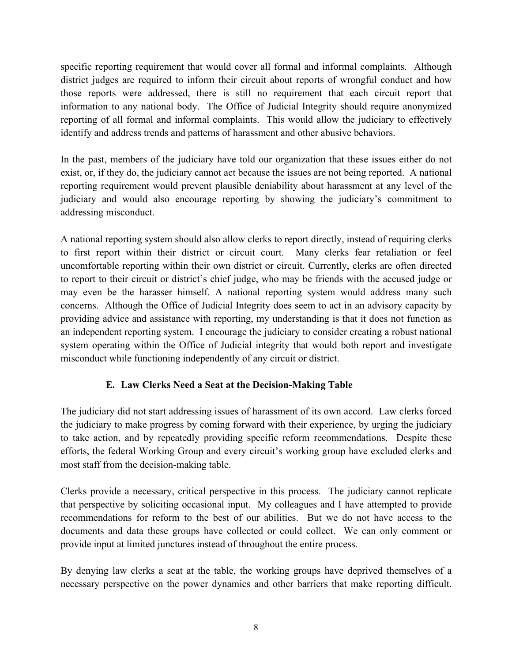specific reporting requirement that would cover all formal and informal complaints. Although district judges are required to inform their circuit about reports of wrongful conduct and how those reports were addressed, there is still no requirement that each circuit report that information to any national body. The Office of Judicial Integrity should require anonymized reporting of all formal and informal complaints. This would allow the judiciary to effectively identify and address trends and patterns of harassment and other abusive behaviors.

In the past, members of the judiciary have told our organization that these issues either do not exist, or, if they do, the judiciary cannot act because the issues are not being reported. A national reporting requirement would prevent plausible deniability about harassment at any level of the judiciary and would also encourage reporting by showing the judiciary's commitment to addressing misconduct.

A national reporting system should also allow clerks to report directly, instead of requiring clerks to first report within their district or circuit court. Many clerks fear retaliation or feel uncomfortable reporting within their own district or circuit. Currently, clerks are often directed to report to their circuit or district's chief judge, who may be friends with the accused judge or may even be the harasser himself. A national reporting system would address many such concerns. Although the Office of Judicial Integrity does seem to act in an advisory capacity by providing advice and assistance with reporting, my understanding is that it does not function as an independent reporting system. I encourage the judiciary to consider creating a robust national system operating within the Office of Judicial integrity that would both report and investigate misconduct while functioning independently of any circuit or district.

# **E. Law Clerks Need a Seat at the Decision-Making Table**

The judiciary did not start addressing issues of harassment of its own accord. Law clerks forced the judiciary to make progress by coming forward with their experience, by urging the judiciary to take action, and by repeatedly providing specific reform recommendations. Despite these efforts, the federal Working Group and every circuit's working group have excluded clerks and most staff from the decision-making table.

Clerks provide a necessary, critical perspective in this process. The judiciary cannot replicate that perspective by soliciting occasional input. My colleagues and I have attempted to provide recommendations for reform to the best of our abilities. But we do not have access to the documents and data these groups have collected or could collect. We can only comment or provide input at limited junctures instead of throughout the entire process.

By denying law clerks a seat at the table, the working groups have deprived themselves of a necessary perspective on the power dynamics and other barriers that make reporting difficult.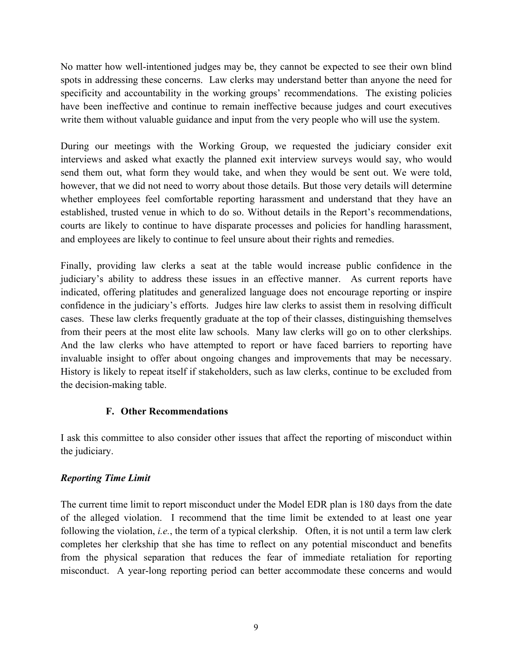No matter how well-intentioned judges may be, they cannot be expected to see their own blind spots in addressing these concerns. Law clerks may understand better than anyone the need for specificity and accountability in the working groups' recommendations. The existing policies have been ineffective and continue to remain ineffective because judges and court executives write them without valuable guidance and input from the very people who will use the system.

During our meetings with the Working Group, we requested the judiciary consider exit interviews and asked what exactly the planned exit interview surveys would say, who would send them out, what form they would take, and when they would be sent out. We were told, however, that we did not need to worry about those details. But those very details will determine whether employees feel comfortable reporting harassment and understand that they have an established, trusted venue in which to do so. Without details in the Report's recommendations, courts are likely to continue to have disparate processes and policies for handling harassment, and employees are likely to continue to feel unsure about their rights and remedies.

Finally, providing law clerks a seat at the table would increase public confidence in the judiciary's ability to address these issues in an effective manner. As current reports have indicated, offering platitudes and generalized language does not encourage reporting or inspire confidence in the judiciary's efforts. Judges hire law clerks to assist them in resolving difficult cases. These law clerks frequently graduate at the top of their classes, distinguishing themselves from their peers at the most elite law schools. Many law clerks will go on to other clerkships. And the law clerks who have attempted to report or have faced barriers to reporting have invaluable insight to offer about ongoing changes and improvements that may be necessary. History is likely to repeat itself if stakeholders, such as law clerks, continue to be excluded from the decision-making table.

# **F. Other Recommendations**

I ask this committee to also consider other issues that affect the reporting of misconduct within the judiciary.

# *Reporting Time Limit*

The current time limit to report misconduct under the Model EDR plan is 180 days from the date of the alleged violation. I recommend that the time limit be extended to at least one year following the violation, *i.e.*, the term of a typical clerkship. Often, it is not until a term law clerk completes her clerkship that she has time to reflect on any potential misconduct and benefits from the physical separation that reduces the fear of immediate retaliation for reporting misconduct. A year-long reporting period can better accommodate these concerns and would